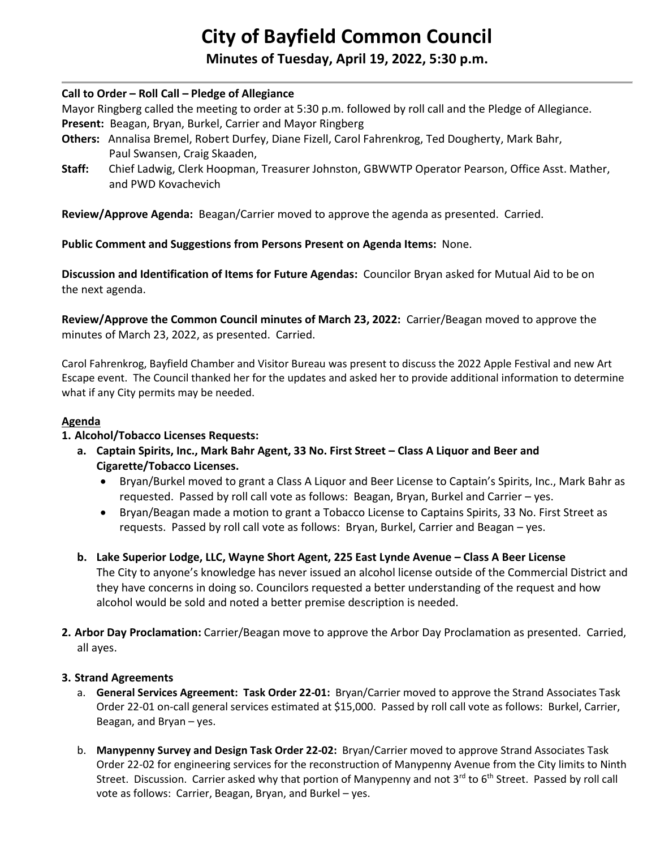# **City of Bayfield Common Council**

**Minutes of Tuesday, April 19, 2022, 5:30 p.m.** 

#### **Call to Order – Roll Call – Pledge of Allegiance**

Mayor Ringberg called the meeting to order at 5:30 p.m. followed by roll call and the Pledge of Allegiance.

- **Present:** Beagan, Bryan, Burkel, Carrier and Mayor Ringberg
- **Others:** Annalisa Bremel, Robert Durfey, Diane Fizell, Carol Fahrenkrog, Ted Dougherty, Mark Bahr, Paul Swansen, Craig Skaaden,
- **Staff:** Chief Ladwig, Clerk Hoopman, Treasurer Johnston, GBWWTP Operator Pearson, Office Asst. Mather, and PWD Kovachevich

**Review/Approve Agenda:** Beagan/Carrier moved to approve the agenda as presented. Carried.

**Public Comment and Suggestions from Persons Present on Agenda Items:** None.

**Discussion and Identification of Items for Future Agendas:** Councilor Bryan asked for Mutual Aid to be on the next agenda.

**Review/Approve the Common Council minutes of March 23, 2022:** Carrier/Beagan moved to approve the minutes of March 23, 2022, as presented. Carried.

Carol Fahrenkrog, Bayfield Chamber and Visitor Bureau was present to discuss the 2022 Apple Festival and new Art Escape event. The Council thanked her for the updates and asked her to provide additional information to determine what if any City permits may be needed.

#### **Agenda**

# **1. Alcohol/Tobacco Licenses Requests:**

- **a. Captain Spirits, Inc., Mark Bahr Agent, 33 No. First Street – Class A Liquor and Beer and Cigarette/Tobacco Licenses.**
	- Bryan/Burkel moved to grant a Class A Liquor and Beer License to Captain's Spirits, Inc., Mark Bahr as requested. Passed by roll call vote as follows: Beagan, Bryan, Burkel and Carrier – yes.
	- Bryan/Beagan made a motion to grant a Tobacco License to Captains Spirits, 33 No. First Street as requests. Passed by roll call vote as follows: Bryan, Burkel, Carrier and Beagan – yes.
- **b. Lake Superior Lodge, LLC, Wayne Short Agent, 225 East Lynde Avenue – Class A Beer License** The City to anyone's knowledge has never issued an alcohol license outside of the Commercial District and they have concerns in doing so. Councilors requested a better understanding of the request and how alcohol would be sold and noted a better premise description is needed.
- **2. Arbor Day Proclamation:** Carrier/Beagan move to approve the Arbor Day Proclamation as presented. Carried, all ayes.

#### **3. Strand Agreements**

- a. **General Services Agreement: Task Order 22-01:** Bryan/Carrier moved to approve the Strand Associates Task Order 22-01 on-call general services estimated at \$15,000. Passed by roll call vote as follows: Burkel, Carrier, Beagan, and Bryan – yes.
- b. **Manypenny Survey and Design Task Order 22-02:** Bryan/Carrier moved to approve Strand Associates Task Order 22-02 for engineering services for the reconstruction of Manypenny Avenue from the City limits to Ninth Street. Discussion. Carrier asked why that portion of Manypenny and not  $3^{rd}$  to 6<sup>th</sup> Street. Passed by roll call vote as follows: Carrier, Beagan, Bryan, and Burkel – yes.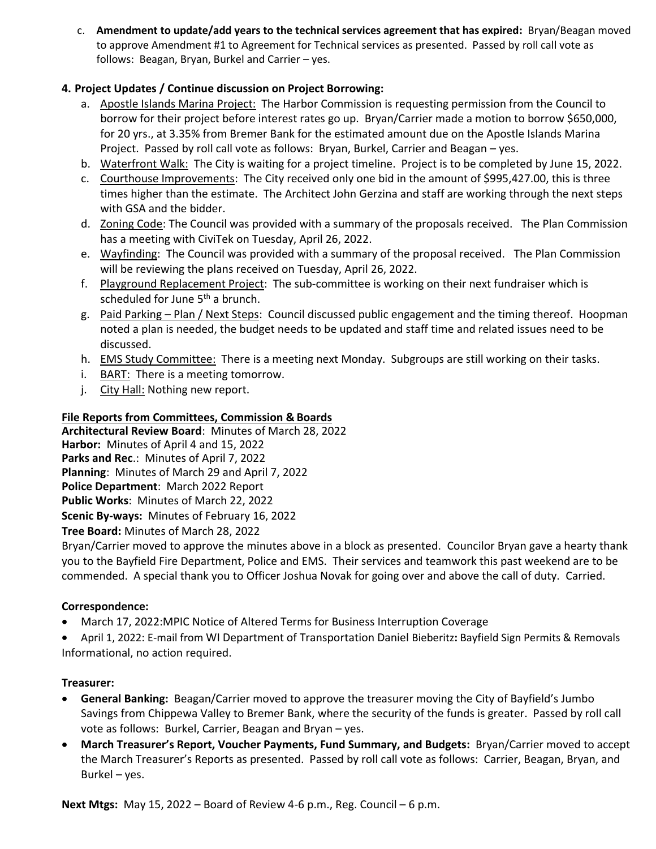c. **Amendment to update/add years to the technical services agreement that has expired:** Bryan/Beagan moved to approve Amendment #1 to Agreement for Technical services as presented. Passed by roll call vote as follows: Beagan, Bryan, Burkel and Carrier – yes.

# **4. Project Updates / Continue discussion on Project Borrowing:**

- a. Apostle Islands Marina Project: The Harbor Commission is requesting permission from the Council to borrow for their project before interest rates go up. Bryan/Carrier made a motion to borrow \$650,000, for 20 yrs., at 3.35% from Bremer Bank for the estimated amount due on the Apostle Islands Marina Project. Passed by roll call vote as follows: Bryan, Burkel, Carrier and Beagan – yes.
- b. Waterfront Walk: The City is waiting for a project timeline. Project is to be completed by June 15, 2022.
- c. Courthouse Improvements: The City received only one bid in the amount of \$995,427.00, this is three times higher than the estimate. The Architect John Gerzina and staff are working through the next steps with GSA and the bidder.
- d. Zoning Code: The Council was provided with a summary of the proposals received. The Plan Commission has a meeting with CiviTek on Tuesday, April 26, 2022.
- e. Wayfinding: The Council was provided with a summary of the proposal received. The Plan Commission will be reviewing the plans received on Tuesday, April 26, 2022.
- f. Playground Replacement Project: The sub-committee is working on their next fundraiser which is scheduled for June  $5<sup>th</sup>$  a brunch.
- g. Paid Parking Plan / Next Steps: Council discussed public engagement and the timing thereof. Hoopman noted a plan is needed, the budget needs to be updated and staff time and related issues need to be discussed.
- h. EMS Study Committee: There is a meeting next Monday. Subgroups are still working on their tasks.
- i. BART: There is a meeting tomorrow.
- j. City Hall: Nothing new report.

## **File Reports from Committees, Commission & Boards**

**Architectural Review Board**: Minutes of March 28, 2022 **Harbor:** Minutes of April 4 and 15, 2022 **Parks and Rec**.: Minutes of April 7, 2022 **Planning**: Minutes of March 29 and April 7, 2022 **Police Department**: March 2022 Report **Public Works**: Minutes of March 22, 2022 **Scenic By-ways:** Minutes of February 16, 2022 **Tree Board:** Minutes of March 28, 2022

Bryan/Carrier moved to approve the minutes above in a block as presented. Councilor Bryan gave a hearty thank you to the Bayfield Fire Department, Police and EMS. Their services and teamwork this past weekend are to be commended. A special thank you to Officer Joshua Novak for going over and above the call of duty. Carried.

# **Correspondence:**

- March 17, 2022:MPIC Notice of Altered Terms for Business Interruption Coverage
- April 1, 2022: E-mail from WI Department of Transportation Daniel Bieberitz**:** Bayfield Sign Permits & Removals Informational, no action required.

# **Treasurer:**

- **General Banking:** Beagan/Carrier moved to approve the treasurer moving the City of Bayfield's Jumbo Savings from Chippewa Valley to Bremer Bank, where the security of the funds is greater. Passed by roll call vote as follows: Burkel, Carrier, Beagan and Bryan – yes.
- **March Treasurer's Report, Voucher Payments, Fund Summary, and Budgets:** Bryan/Carrier moved to accept the March Treasurer's Reports as presented. Passed by roll call vote as follows: Carrier, Beagan, Bryan, and Burkel – yes.

**Next Mtgs:** May 15, 2022 – Board of Review 4-6 p.m., Reg. Council – 6 p.m.